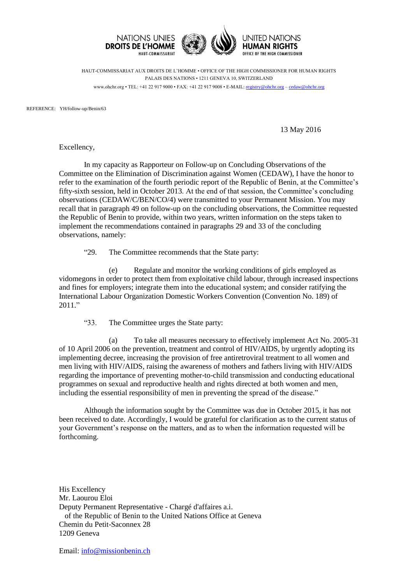

HAUT-COMMISSARIAT AUX DROITS DE L'HOMME • OFFICE OF THE HIGH COMMISSIONER FOR HUMAN RIGHTS PALAIS DES NATIONS • 1211 GENEVA 10, SWITZERLAND www.ohchr.org • TEL: +41 22 917 9000 • FAX: +41 22 917 9008 • E-MAIL: [registry@ohchr.org](mailto:registry@ohchr.org) – [cedaw@ohchr.org](mailto:cedaw@ohchr.org)

REFERENCE: YH/follow-up/Benin/63

13 May 2016

Excellency,

In my capacity as Rapporteur on Follow-up on Concluding Observations of the Committee on the Elimination of Discrimination against Women (CEDAW), I have the honor to refer to the examination of the fourth periodic report of the Republic of Benin, at the Committee's fifty-sixth session, held in October 2013. At the end of that session, the Committee's concluding observations (CEDAW/C/BEN/CO/4) were transmitted to your Permanent Mission. You may recall that in paragraph 49 on follow-up on the concluding observations, the Committee requested the Republic of Benin to provide, within two years, written information on the steps taken to implement the recommendations contained in paragraphs 29 and 33 of the concluding observations, namely:

"29. The Committee recommends that the State party:

(e) Regulate and monitor the working conditions of girls employed as vidomegons in order to protect them from exploitative child labour, through increased inspections and fines for employers; integrate them into the educational system; and consider ratifying the International Labour Organization Domestic Workers Convention (Convention No. 189) of 2011."

"33. The Committee urges the State party:

(a) To take all measures necessary to effectively implement Act No. 2005-31 of 10 April 2006 on the prevention, treatment and control of HIV/AIDS, by urgently adopting its implementing decree, increasing the provision of free antiretroviral treatment to all women and men living with HIV/AIDS, raising the awareness of mothers and fathers living with HIV/AIDS regarding the importance of preventing mother-to-child transmission and conducting educational programmes on sexual and reproductive health and rights directed at both women and men, including the essential responsibility of men in preventing the spread of the disease."

Although the information sought by the Committee was due in October 2015, it has not been received to date. Accordingly, I would be grateful for clarification as to the current status of your Government's response on the matters, and as to when the information requested will be forthcoming.

His Excellency Mr. Laourou Eloi Deputy Permanent Representative - Chargé d'affaires a.i. of the Republic of Benin to the United Nations Office at Geneva Chemin du Petit-Saconnex 28 1209 Geneva

Email: [info@missionbenin.ch](mailto:info@missionbenin.ch)